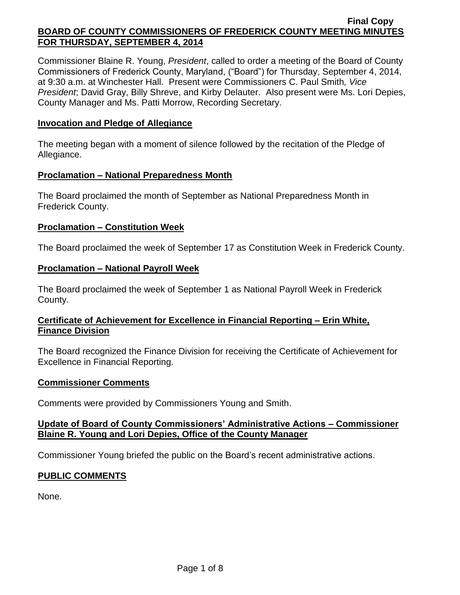Commissioner Blaine R. Young, *President*, called to order a meeting of the Board of County Commissioners of Frederick County, Maryland, ("Board") for Thursday, September 4, 2014, at 9:30 a.m. at Winchester Hall. Present were Commissioners C. Paul Smith*, Vice President*; David Gray, Billy Shreve, and Kirby Delauter. Also present were Ms. Lori Depies, County Manager and Ms. Patti Morrow, Recording Secretary.

#### **Invocation and Pledge of Allegiance**

The meeting began with a moment of silence followed by the recitation of the Pledge of Allegiance.

#### **Proclamation – National Preparedness Month**

The Board proclaimed the month of September as National Preparedness Month in Frederick County.

#### **Proclamation – Constitution Week**

The Board proclaimed the week of September 17 as Constitution Week in Frederick County.

### **Proclamation – National Payroll Week**

The Board proclaimed the week of September 1 as National Payroll Week in Frederick County.

### **Certificate of Achievement for Excellence in Financial Reporting – Erin White, Finance Division**

The Board recognized the Finance Division for receiving the Certificate of Achievement for Excellence in Financial Reporting.

#### **Commissioner Comments**

Comments were provided by Commissioners Young and Smith.

### **Update of Board of County Commissioners' Administrative Actions – Commissioner Blaine R. Young and Lori Depies, Office of the County Manager**

Commissioner Young briefed the public on the Board's recent administrative actions.

### **PUBLIC COMMENTS**

None.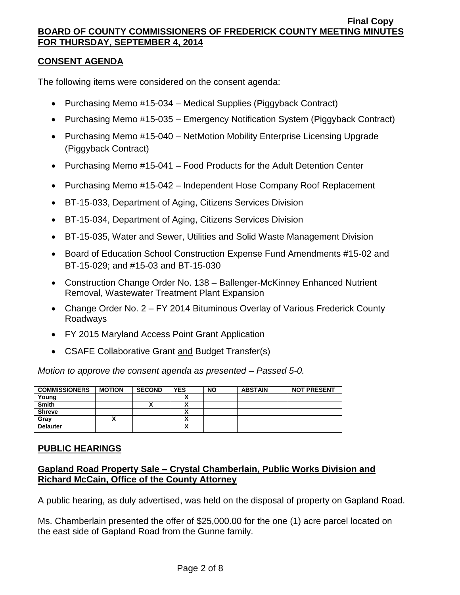## **CONSENT AGENDA**

The following items were considered on the consent agenda:

- Purchasing Memo #15-034 Medical Supplies (Piggyback Contract)
- Purchasing Memo #15-035 Emergency Notification System (Piggyback Contract)
- Purchasing Memo #15-040 NetMotion Mobility Enterprise Licensing Upgrade (Piggyback Contract)
- Purchasing Memo #15-041 Food Products for the Adult Detention Center
- Purchasing Memo #15-042 Independent Hose Company Roof Replacement
- BT-15-033, Department of Aging, Citizens Services Division
- BT-15-034, Department of Aging, Citizens Services Division
- BT-15-035, Water and Sewer, Utilities and Solid Waste Management Division
- Board of Education School Construction Expense Fund Amendments #15-02 and BT-15-029; and #15-03 and BT-15-030
- Construction Change Order No. 138 Ballenger-McKinney Enhanced Nutrient Removal, Wastewater Treatment Plant Expansion
- Change Order No. 2 FY 2014 Bituminous Overlay of Various Frederick County Roadways
- FY 2015 Maryland Access Point Grant Application
- CSAFE Collaborative Grant and Budget Transfer(s)

*Motion to approve the consent agenda as presented – Passed 5-0.*

| <b>COMMISSIONERS</b> | <b>MOTION</b> | <b>SECOND</b> | <b>YES</b>                 | <b>NO</b> | <b>ABSTAIN</b> | <b>NOT PRESENT</b> |
|----------------------|---------------|---------------|----------------------------|-----------|----------------|--------------------|
| Young                |               |               |                            |           |                |                    |
| <b>Smith</b>         |               | ↗             |                            |           |                |                    |
| <b>Shreve</b>        |               |               |                            |           |                |                    |
| Gray                 |               |               |                            |           |                |                    |
| <b>Delauter</b>      |               |               | $\boldsymbol{\mathcal{L}}$ |           |                |                    |

### **PUBLIC HEARINGS**

## **Gapland Road Property Sale – Crystal Chamberlain, Public Works Division and Richard McCain, Office of the County Attorney**

A public hearing, as duly advertised, was held on the disposal of property on Gapland Road.

Ms. Chamberlain presented the offer of \$25,000.00 for the one (1) acre parcel located on the east side of Gapland Road from the Gunne family.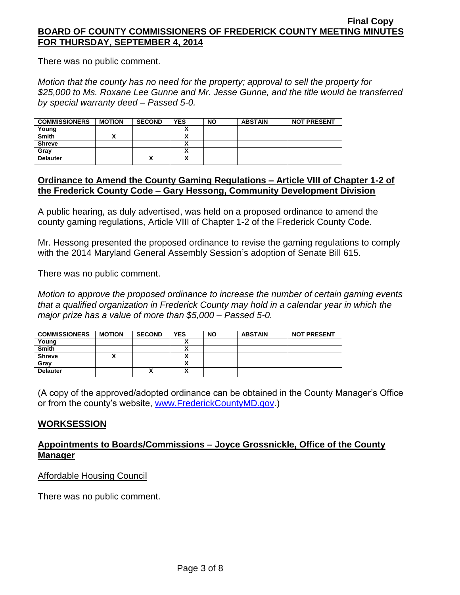There was no public comment.

*Motion that the county has no need for the property; approval to sell the property for \$25,000 to Ms. Roxane Lee Gunne and Mr. Jesse Gunne, and the title would be transferred by special warranty deed – Passed 5-0.*

| <b>COMMISSIONERS</b> | <b>MOTION</b> | <b>SECOND</b> | <b>YES</b> | <b>NO</b> | <b>ABSTAIN</b> | <b>NOT PRESENT</b> |
|----------------------|---------------|---------------|------------|-----------|----------------|--------------------|
| Young                |               |               |            |           |                |                    |
| <b>Smith</b>         |               |               |            |           |                |                    |
| <b>Shreve</b>        |               |               |            |           |                |                    |
| Grav                 |               |               |            |           |                |                    |
| <b>Delauter</b>      |               | Λ             |            |           |                |                    |

#### **Ordinance to Amend the County Gaming Regulations – Article VIII of Chapter 1-2 of the Frederick County Code – Gary Hessong, Community Development Division**

A public hearing, as duly advertised, was held on a proposed ordinance to amend the county gaming regulations, Article VIII of Chapter 1-2 of the Frederick County Code.

Mr. Hessong presented the proposed ordinance to revise the gaming regulations to comply with the 2014 Maryland General Assembly Session's adoption of Senate Bill 615.

There was no public comment.

*Motion to approve the proposed ordinance to increase the number of certain gaming events that a qualified organization in Frederick County may hold in a calendar year in which the major prize has a value of more than \$5,000 – Passed 5-0.*

| <b>COMMISSIONERS</b> | <b>MOTION</b> | <b>SECOND</b> | <b>YES</b> | <b>NO</b> | <b>ABSTAIN</b> | <b>NOT PRESENT</b> |
|----------------------|---------------|---------------|------------|-----------|----------------|--------------------|
| Young                |               |               |            |           |                |                    |
| <b>Smith</b>         |               |               |            |           |                |                    |
| <b>Shreve</b>        |               |               |            |           |                |                    |
| Gray                 |               |               |            |           |                |                    |
| <b>Delauter</b>      |               | Λ             |            |           |                |                    |

(A copy of the approved/adopted ordinance can be obtained in the County Manager's Office or from the county's website, [www.FrederickCountyMD.gov.](http://www.frederickcountymd.gov/))

### **WORKSESSION**

### **Appointments to Boards/Commissions – Joyce Grossnickle, Office of the County Manager**

Affordable Housing Council

There was no public comment.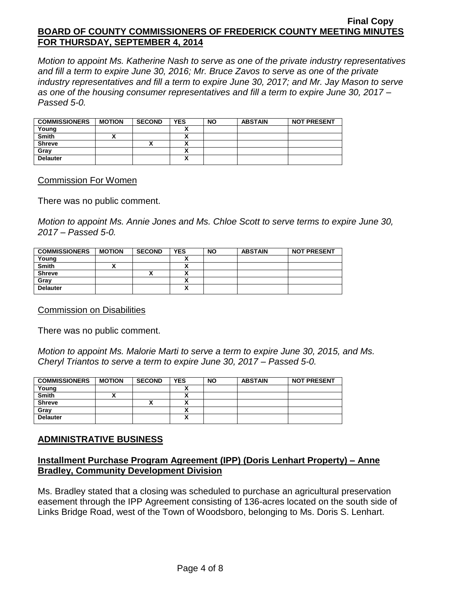*Motion to appoint Ms. Katherine Nash to serve as one of the private industry representatives and fill a term to expire June 30, 2016; Mr. Bruce Zavos to serve as one of the private industry representatives and fill a term to expire June 30, 2017; and Mr. Jay Mason to serve as one of the housing consumer representatives and fill a term to expire June 30, 2017 – Passed 5-0.*

| <b>COMMISSIONERS</b> | <b>MOTION</b> | <b>SECOND</b>      | <b>YES</b> | <b>NO</b> | <b>ABSTAIN</b> | <b>NOT PRESENT</b> |
|----------------------|---------------|--------------------|------------|-----------|----------------|--------------------|
| Young                |               |                    |            |           |                |                    |
| <b>Smith</b>         |               |                    |            |           |                |                    |
| <b>Shreve</b>        |               | $\mathbf{\Lambda}$ | ~          |           |                |                    |
| Gray                 |               |                    | n          |           |                |                    |
| <b>Delauter</b>      |               |                    | n          |           |                |                    |

#### Commission For Women

There was no public comment.

*Motion to appoint Ms. Annie Jones and Ms. Chloe Scott to serve terms to expire June 30, 2017 – Passed 5-0.*

| <b>COMMISSIONERS</b> | <b>MOTION</b> | <b>SECOND</b> | <b>YES</b> | <b>NO</b> | <b>ABSTAIN</b> | <b>NOT PRESENT</b> |
|----------------------|---------------|---------------|------------|-----------|----------------|--------------------|
| Young                |               |               | ↗          |           |                |                    |
| <b>Smith</b>         |               |               | ~          |           |                |                    |
| <b>Shreve</b>        |               | ,,            |            |           |                |                    |
| Gray                 |               |               |            |           |                |                    |
| <b>Delauter</b>      |               |               | ^          |           |                |                    |

Commission on Disabilities

There was no public comment.

*Motion to appoint Ms. Malorie Marti to serve a term to expire June 30, 2015, and Ms. Cheryl Triantos to serve a term to expire June 30, 2017 – Passed 5-0.*

| <b>COMMISSIONERS</b> | <b>MOTION</b> | <b>SECOND</b> | <b>YES</b> | <b>NO</b> | <b>ABSTAIN</b> | <b>NOT PRESENT</b> |
|----------------------|---------------|---------------|------------|-----------|----------------|--------------------|
| Young                |               |               |            |           |                |                    |
| <b>Smith</b>         |               |               |            |           |                |                    |
| <b>Shreve</b>        |               | '             |            |           |                |                    |
| Gray                 |               |               |            |           |                |                    |
| <b>Delauter</b>      |               |               | v<br>      |           |                |                    |

### **ADMINISTRATIVE BUSINESS**

### **Installment Purchase Program Agreement (IPP) (Doris Lenhart Property) – Anne Bradley, Community Development Division**

Ms. Bradley stated that a closing was scheduled to purchase an agricultural preservation easement through the IPP Agreement consisting of 136-acres located on the south side of Links Bridge Road, west of the Town of Woodsboro, belonging to Ms. Doris S. Lenhart.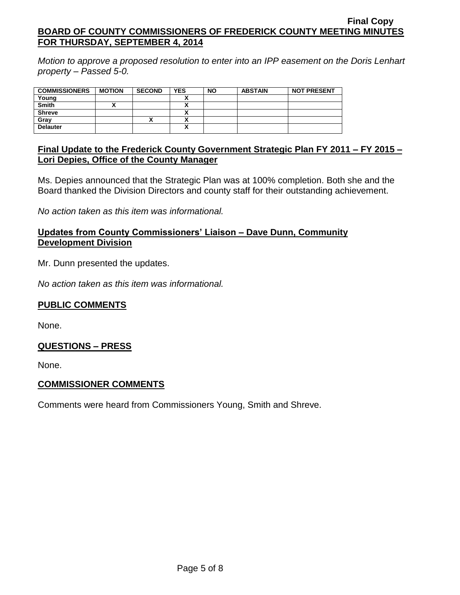*Motion to approve a proposed resolution to enter into an IPP easement on the Doris Lenhart property – Passed 5-0.*

| <b>COMMISSIONERS</b> | <b>MOTION</b> | <b>SECOND</b> | <b>YES</b>                    | <b>NO</b> | <b>ABSTAIN</b> | <b>NOT PRESENT</b> |
|----------------------|---------------|---------------|-------------------------------|-----------|----------------|--------------------|
| Young                |               |               |                               |           |                |                    |
| <b>Smith</b>         |               |               |                               |           |                |                    |
| <b>Shreve</b>        |               |               | $\overline{\phantom{a}}$      |           |                |                    |
| Grav                 |               |               |                               |           |                |                    |
| <b>Delauter</b>      |               |               | v<br>$\overline{\phantom{a}}$ |           |                |                    |
|                      |               |               |                               |           |                |                    |

## **Final Update to the Frederick County Government Strategic Plan FY 2011 – FY 2015 – Lori Depies, Office of the County Manager**

Ms. Depies announced that the Strategic Plan was at 100% completion. Both she and the Board thanked the Division Directors and county staff for their outstanding achievement.

*No action taken as this item was informational.*

## **Updates from County Commissioners' Liaison – Dave Dunn, Community Development Division**

Mr. Dunn presented the updates.

*No action taken as this item was informational.*

### **PUBLIC COMMENTS**

None.

### **QUESTIONS – PRESS**

None.

### **COMMISSIONER COMMENTS**

Comments were heard from Commissioners Young, Smith and Shreve.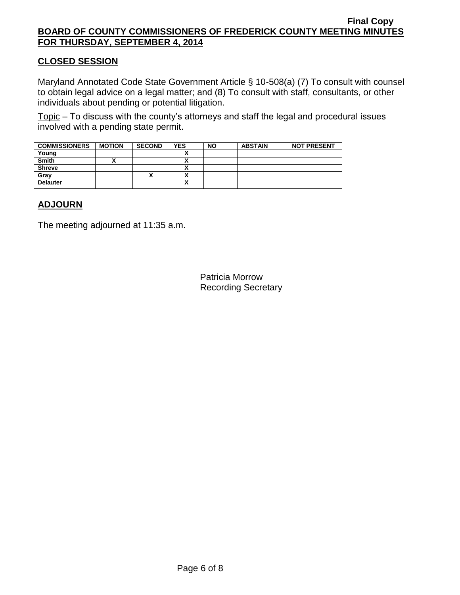## **CLOSED SESSION**

Maryland Annotated Code State Government Article § 10-508(a) (7) To consult with counsel to obtain legal advice on a legal matter; and (8) To consult with staff, consultants, or other individuals about pending or potential litigation.

Topic – To discuss with the county's attorneys and staff the legal and procedural issues involved with a pending state permit.

| <b>COMMISSIONERS</b> | <b>MOTION</b> | <b>SECOND</b> | <b>YES</b> | <b>NO</b> | <b>ABSTAIN</b> | <b>NOT PRESENT</b> |
|----------------------|---------------|---------------|------------|-----------|----------------|--------------------|
| Young                |               |               |            |           |                |                    |
| <b>Smith</b>         |               |               | n          |           |                |                    |
| <b>Shreve</b>        |               |               |            |           |                |                    |
| Gray                 |               | ↗             |            |           |                |                    |
| <b>Delauter</b>      |               |               | ٠.<br>n    |           |                |                    |

## **ADJOURN**

The meeting adjourned at 11:35 a.m.

Patricia Morrow Recording Secretary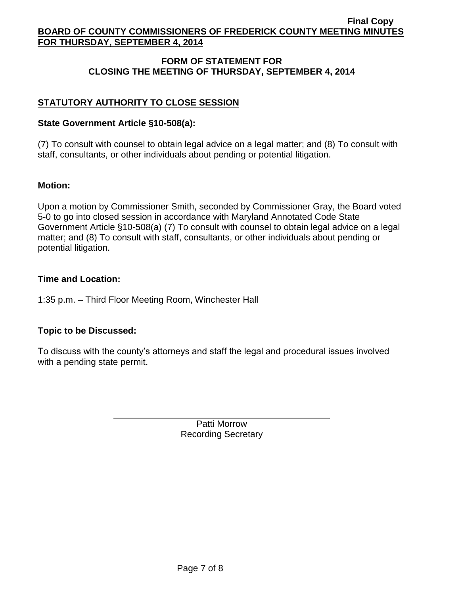## **FORM OF STATEMENT FOR CLOSING THE MEETING OF THURSDAY, SEPTEMBER 4, 2014**

# **STATUTORY AUTHORITY TO CLOSE SESSION**

## **State Government Article §10-508(a):**

(7) To consult with counsel to obtain legal advice on a legal matter; and (8) To consult with staff, consultants, or other individuals about pending or potential litigation.

## **Motion:**

Upon a motion by Commissioner Smith, seconded by Commissioner Gray, the Board voted 5-0 to go into closed session in accordance with Maryland Annotated Code State Government Article §10-508(a) (7) To consult with counsel to obtain legal advice on a legal matter; and (8) To consult with staff, consultants, or other individuals about pending or potential litigation.

## **Time and Location:**

1:35 p.m. – Third Floor Meeting Room, Winchester Hall

# **Topic to be Discussed:**

To discuss with the county's attorneys and staff the legal and procedural issues involved with a pending state permit.

> Patti Morrow Recording Secretary